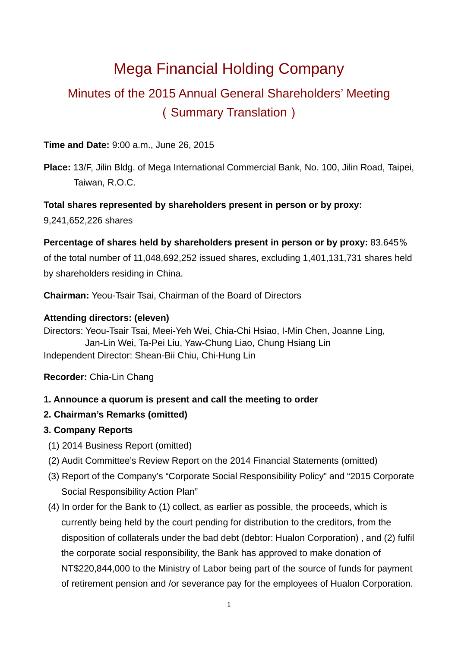# Mega Financial Holding Company

# Minutes of the 2015 Annual General Shareholders' Meeting (Summary Translation)

## **Time and Date:** 9:00 a.m., June 26, 2015

**Place:** 13/F, Jilin Bldg. of Mega International Commercial Bank, No. 100, Jilin Road, Taipei, Taiwan, R.O.C.

## **Total shares represented by shareholders present in person or by proxy:**

9,241,652,226 shares

## **Percentage of shares held by shareholders present in person or by proxy:** 83.645% of the total number of 11,048,692,252 issued shares, excluding 1,401,131,731 shares held by shareholders residing in China.

**Chairman:** Yeou-Tsair Tsai, Chairman of the Board of Directors

## **Attending directors: (eleven)**

Directors: Yeou-Tsair Tsai, Meei-Yeh Wei, Chia-Chi Hsiao, I-Min Chen, Joanne Ling, Jan-Lin Wei, Ta-Pei Liu, Yaw-Chung Liao, Chung Hsiang Lin Independent Director: Shean-Bii Chiu, Chi-Hung Lin

**Recorder:** Chia-Lin Chang

## **1. Announce a quorum is present and call the meeting to order**

## **2. Chairman's Remarks (omitted)**

## **3. Company Reports**

- (1) 2014 Business Report (omitted)
- (2) Audit Committee's Review Report on the 2014 Financial Statements (omitted)
- (3) Report of the Company's "Corporate Social Responsibility Policy" and "2015 Corporate Social Responsibility Action Plan"
- (4) In order for the Bank to (1) collect, as earlier as possible, the proceeds, which is currently being held by the court pending for distribution to the creditors, from the disposition of collaterals under the bad debt (debtor: Hualon Corporation) , and (2) fulfil the corporate social responsibility, the Bank has approved to make donation of NT\$220,844,000 to the Ministry of Labor being part of the source of funds for payment of retirement pension and /or severance pay for the employees of Hualon Corporation.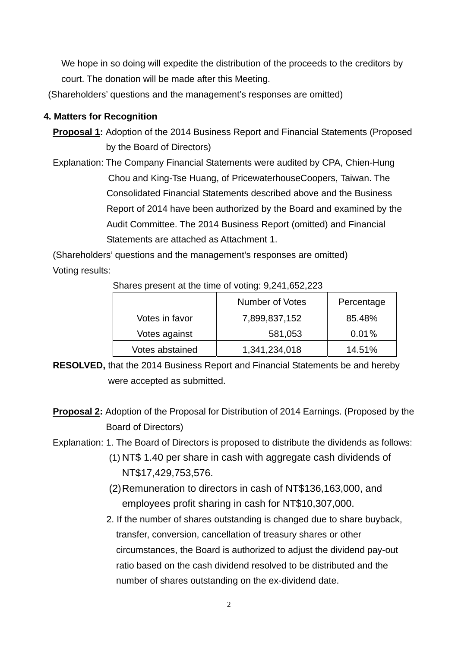We hope in so doing will expedite the distribution of the proceeds to the creditors by court. The donation will be made after this Meeting.

(Shareholders' questions and the management's responses are omitted)

## **4. Matters for Recognition**

- **Proposal 1:** Adoption of the 2014 Business Report and Financial Statements (Proposed by the Board of Directors)
- Explanation: The Company Financial Statements were audited by CPA, Chien-Hung Chou and King-Tse Huang, of PricewaterhouseCoopers, Taiwan. The Consolidated Financial Statements described above and the Business Report of 2014 have been authorized by the Board and examined by the Audit Committee. The 2014 Business Report (omitted) and Financial Statements are attached as Attachment 1.

(Shareholders' questions and the management's responses are omitted) Voting results:

|                 | Number of Votes | Percentage |
|-----------------|-----------------|------------|
| Votes in favor  | 7,899,837,152   | 85.48%     |
| Votes against   | 581,053         | 0.01%      |
| Votes abstained | 1,341,234,018   | 14.51%     |

Shares present at the time of voting: 9,241,652,223

- **RESOLVED,** that the 2014 Business Report and Financial Statements be and hereby were accepted as submitted.
- **Proposal 2:** Adoption of the Proposal for Distribution of 2014 Earnings. (Proposed by the Board of Directors)
- Explanation: 1. The Board of Directors is proposed to distribute the dividends as follows:
	- (1) NT\$ 1.40 per share in cash with aggregate cash dividends of NT\$17,429,753,576.
	- (2) Remuneration to directors in cash of NT\$136,163,000, and employees profit sharing in cash for NT\$10,307,000.
	- 2. If the number of shares outstanding is changed due to share buyback, transfer, conversion, cancellation of treasury shares or other circumstances, the Board is authorized to adjust the dividend pay-out ratio based on the cash dividend resolved to be distributed and the number of shares outstanding on the ex-dividend date.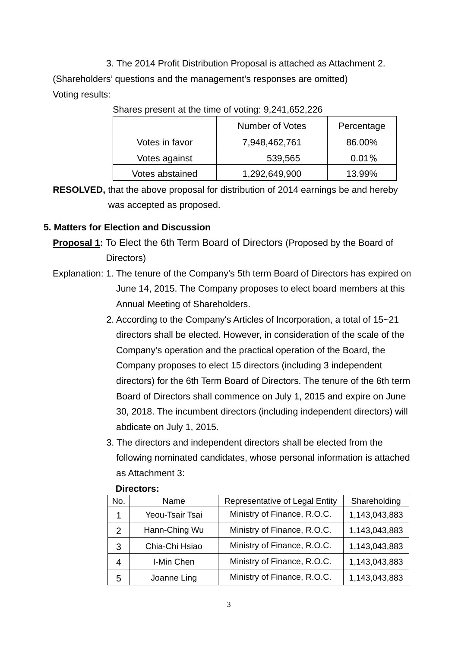3. The 2014 Profit Distribution Proposal is attached as Attachment 2. (Shareholders' questions and the management's responses are omitted) Voting results:

| $\frac{1}{2}$   |                 |            |  |
|-----------------|-----------------|------------|--|
|                 | Number of Votes | Percentage |  |
| Votes in favor  | 7,948,462,761   | 86.00%     |  |
| Votes against   | 539,565         | 0.01%      |  |
| Votes abstained | 1,292,649,900   | 13.99%     |  |

Shares present at the time of voting: 9,241,652,226

**RESOLVED,** that the above proposal for distribution of 2014 earnings be and hereby was accepted as proposed.

## **5. Matters for Election and Discussion**

- **Proposal 1:** To Elect the 6th Term Board of Directors (Proposed by the Board of Directors)
- Explanation: 1. The tenure of the Company's 5th term Board of Directors has expired on June 14, 2015. The Company proposes to elect board members at this Annual Meeting of Shareholders.
	- 2. According to the Company's Articles of Incorporation, a total of 15~21 directors shall be elected. However, in consideration of the scale of the Company's operation and the practical operation of the Board, the Company proposes to elect 15 directors (including 3 independent directors) for the 6th Term Board of Directors. The tenure of the 6th term Board of Directors shall commence on July 1, 2015 and expire on June 30, 2018. The incumbent directors (including independent directors) will abdicate on July 1, 2015.
	- 3. The directors and independent directors shall be elected from the following nominated candidates, whose personal information is attached as Attachment 3:

| No. | Representative of Legal Entity<br>Name |                             | Shareholding  |
|-----|----------------------------------------|-----------------------------|---------------|
|     | Yeou-Tsair Tsai                        | Ministry of Finance, R.O.C. | 1,143,043,883 |
| 2   | Hann-Ching Wu                          | Ministry of Finance, R.O.C. | 1,143,043,883 |
| 3   | Chia-Chi Hsiao                         | Ministry of Finance, R.O.C. | 1,143,043,883 |
| 4   | I-Min Chen                             | Ministry of Finance, R.O.C. | 1,143,043,883 |
| 5   | Joanne Ling                            | Ministry of Finance, R.O.C. | 1,143,043,883 |

### **Directors:**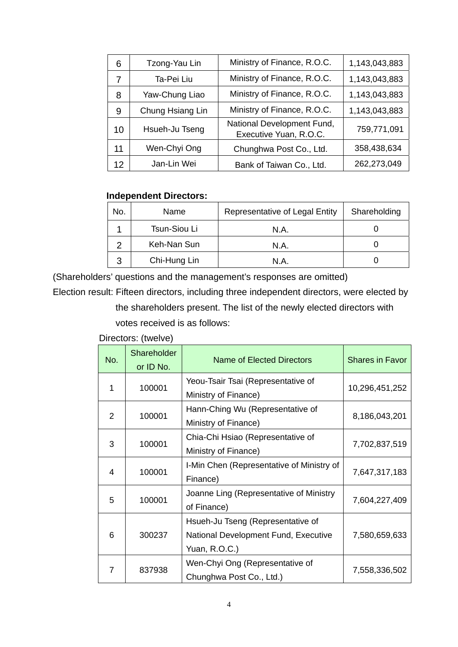| 6  | Tzong-Yau Lin    | Ministry of Finance, R.O.C.                          | 1,143,043,883 |
|----|------------------|------------------------------------------------------|---------------|
|    | Ta-Pei Liu       | Ministry of Finance, R.O.C.                          | 1,143,043,883 |
| 8  | Yaw-Chung Liao   | Ministry of Finance, R.O.C.                          | 1,143,043,883 |
| 9  | Chung Hsiang Lin | Ministry of Finance, R.O.C.                          | 1,143,043,883 |
| 10 | Hsueh-Ju Tseng   | National Development Fund,<br>Executive Yuan, R.O.C. | 759,771,091   |
| 11 | Wen-Chyi Ong     | Chunghwa Post Co., Ltd.                              | 358,438,634   |
| 12 | Jan-Lin Wei      | Bank of Taiwan Co., Ltd.                             | 262,273,049   |

## **Independent Directors:**

| No. | Representative of Legal Entity<br>Name |      | Shareholding |
|-----|----------------------------------------|------|--------------|
|     | Tsun-Siou Li                           | N.A. |              |
|     | Keh-Nan Sun                            | N.A. |              |
| 3   | Chi-Hung Lin                           | N.A. |              |

(Shareholders' questions and the management's responses are omitted)

Election result: Fifteen directors, including three independent directors, were elected by the shareholders present. The list of the newly elected directors with votes received is as follows:

Directors: (twelve)

| No. | Shareholder<br>or ID No. | <b>Name of Elected Directors</b>                                                           | <b>Shares in Favor</b> |
|-----|--------------------------|--------------------------------------------------------------------------------------------|------------------------|
| 1   | 100001                   | Yeou-Tsair Tsai (Representative of<br>Ministry of Finance)                                 | 10,296,451,252         |
| 2   | 100001                   | Hann-Ching Wu (Representative of<br>Ministry of Finance)                                   | 8,186,043,201          |
| 3   | 100001                   | Chia-Chi Hsiao (Representative of<br>Ministry of Finance)                                  | 7,702,837,519          |
| 4   | 100001                   | I-Min Chen (Representative of Ministry of<br>Finance)                                      | 7,647,317,183          |
| 5   | 100001                   | Joanne Ling (Representative of Ministry<br>of Finance)                                     | 7,604,227,409          |
| 6   | 300237                   | Hsueh-Ju Tseng (Representative of<br>National Development Fund, Executive<br>Yuan, R.O.C.) | 7,580,659,633          |
| 7   | 837938                   | Wen-Chyi Ong (Representative of<br>Chunghwa Post Co., Ltd.)                                | 7,558,336,502          |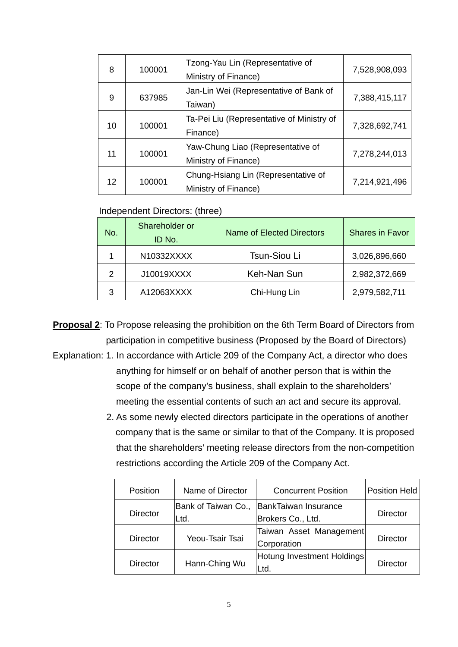| 8  | 100001 | Tzong-Yau Lin (Representative of<br>Ministry of Finance)    | 7,528,908,093 |
|----|--------|-------------------------------------------------------------|---------------|
| 9  | 637985 | Jan-Lin Wei (Representative of Bank of<br>Taiwan)           | 7,388,415,117 |
| 10 | 100001 | Ta-Pei Liu (Representative of Ministry of<br>Finance)       | 7,328,692,741 |
| 11 | 100001 | Yaw-Chung Liao (Representative of<br>Ministry of Finance)   | 7,278,244,013 |
| 12 | 100001 | Chung-Hsiang Lin (Representative of<br>Ministry of Finance) | 7,214,921,496 |

Independent Directors: (three)

| No. | Shareholder or<br>ID No. | <b>Name of Elected Directors</b> | <b>Shares in Favor</b> |
|-----|--------------------------|----------------------------------|------------------------|
|     | N10332XXXX               | <b>Tsun-Siou Li</b>              | 3,026,896,660          |
| 2   | J10019XXXX               | Keh-Nan Sun                      | 2,982,372,669          |
| 3   | A12063XXXX               | Chi-Hung Lin                     | 2,979,582,711          |

- **Proposal 2**: To Propose releasing the prohibition on the 6th Term Board of Directors from participation in competitive business (Proposed by the Board of Directors)
- Explanation: 1. In accordance with Article 209 of the Company Act, a director who does anything for himself or on behalf of another person that is within the scope of the company's business, shall explain to the shareholders' meeting the essential contents of such an act and secure its approval.
	- 2. As some newly elected directors participate in the operations of another company that is the same or similar to that of the Company. It is proposed that the shareholders' meeting release directors from the non-competition restrictions according the Article 209 of the Company Act.

| Position        | Name of Director            | <b>Concurrent Position</b>                       | <b>Position Held</b> |
|-----------------|-----------------------------|--------------------------------------------------|----------------------|
| <b>Director</b> | Bank of Taiwan Co.,<br>Ltd. | <b>BankTaiwan Insurance</b><br>Brokers Co., Ltd. | <b>Director</b>      |
| <b>Director</b> | Yeou-Tsair Tsai             | Taiwan Asset Management<br>Corporation           | <b>Director</b>      |
| <b>Director</b> | Hann-Ching Wu               | Hotung Investment Holdings<br>Ltd                | <b>Director</b>      |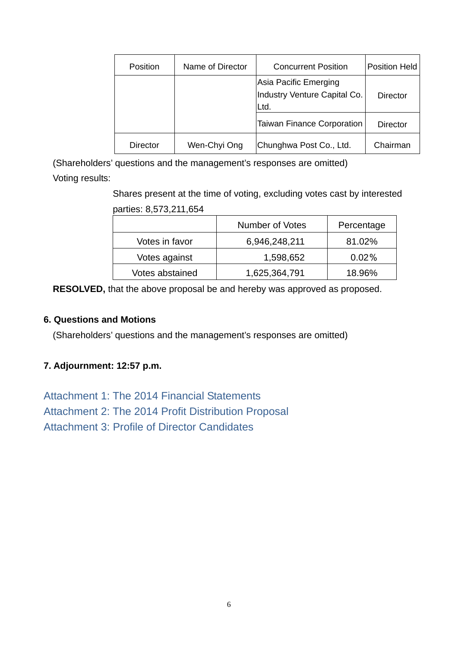| Position | Name of Director | <b>Concurrent Position</b>                                    | <b>Position Held</b> |
|----------|------------------|---------------------------------------------------------------|----------------------|
|          |                  | Asia Pacific Emerging<br>Industry Venture Capital Co.<br>Ltd. | Director             |
|          |                  | <b>Taiwan Finance Corporation</b>                             | <b>Director</b>      |
| Director | Wen-Chyi Ong     | Chunghwa Post Co., Ltd.                                       | Chairman             |

(Shareholders' questions and the management's responses are omitted) Voting results:

> Shares present at the time of voting, excluding votes cast by interested parties: 8,573,211,654

|                 | Number of Votes | Percentage |
|-----------------|-----------------|------------|
| Votes in favor  | 6,946,248,211   | 81.02%     |
| Votes against   | 1,598,652       | $0.02\%$   |
| Votes abstained | 1,625,364,791   | 18.96%     |

**RESOLVED,** that the above proposal be and hereby was approved as proposed.

## **6. Questions and Motions**

(Shareholders' questions and the management's responses are omitted)

### **7. Adjournment: 12:57 p.m.**

Attachment 1: The 2014 Financial Statements Attachment 2: The 2014 Profit Distribution Proposal Attachment 3: Profile of Director Candidates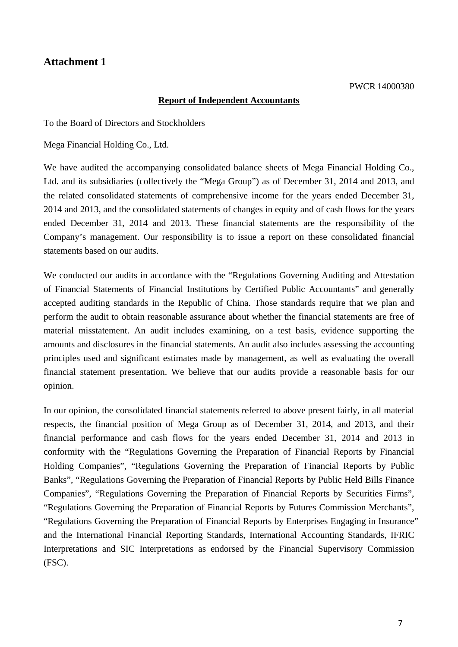### **Attachment 1**

#### **Report of Independent Accountants**

To the Board of Directors and Stockholders

Mega Financial Holding Co., Ltd.

We have audited the accompanying consolidated balance sheets of Mega Financial Holding Co., Ltd. and its subsidiaries (collectively the "Mega Group") as of December 31, 2014 and 2013, and the related consolidated statements of comprehensive income for the years ended December 31, 2014 and 2013, and the consolidated statements of changes in equity and of cash flows for the years ended December 31, 2014 and 2013. These financial statements are the responsibility of the Company's management. Our responsibility is to issue a report on these consolidated financial statements based on our audits.

We conducted our audits in accordance with the "Regulations Governing Auditing and Attestation of Financial Statements of Financial Institutions by Certified Public Accountants" and generally accepted auditing standards in the Republic of China. Those standards require that we plan and perform the audit to obtain reasonable assurance about whether the financial statements are free of material misstatement. An audit includes examining, on a test basis, evidence supporting the amounts and disclosures in the financial statements. An audit also includes assessing the accounting principles used and significant estimates made by management, as well as evaluating the overall financial statement presentation. We believe that our audits provide a reasonable basis for our opinion.

In our opinion, the consolidated financial statements referred to above present fairly, in all material respects, the financial position of Mega Group as of December 31, 2014, and 2013, and their financial performance and cash flows for the years ended December 31, 2014 and 2013 in conformity with the "Regulations Governing the Preparation of Financial Reports by Financial Holding Companies", "Regulations Governing the Preparation of Financial Reports by Public Banks", "Regulations Governing the Preparation of Financial Reports by Public Held Bills Finance Companies", "Regulations Governing the Preparation of Financial Reports by Securities Firms", "Regulations Governing the Preparation of Financial Reports by Futures Commission Merchants", "Regulations Governing the Preparation of Financial Reports by Enterprises Engaging in Insurance" and the International Financial Reporting Standards, International Accounting Standards, IFRIC Interpretations and SIC Interpretations as endorsed by the Financial Supervisory Commission (FSC).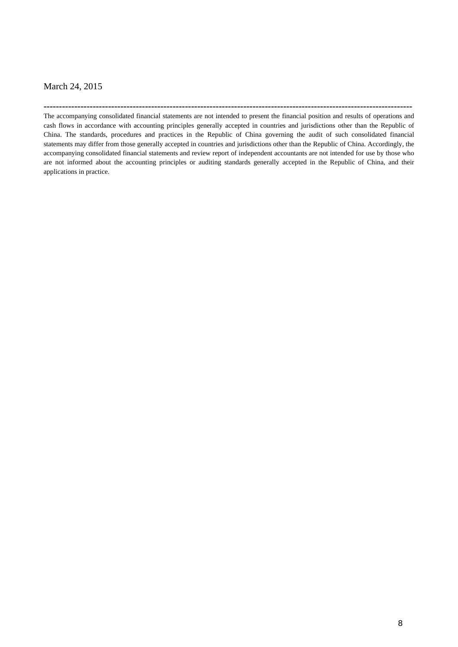#### March 24, 2015

The accompanying consolidated financial statements are not intended to present the financial position and results of operations and cash flows in accordance with accounting principles generally accepted in countries and jurisdictions other than the Republic of China. The standards, procedures and practices in the Republic of China governing the audit of such consolidated financial statements may differ from those generally accepted in countries and jurisdictions other than the Republic of China. Accordingly, the accompanying consolidated financial statements and review report of independent accountants are not intended for use by those who are not informed about the accounting principles or auditing standards generally accepted in the Republic of China, and their applications in practice.

**------------------------------------------------------------------------------------------------------------------------**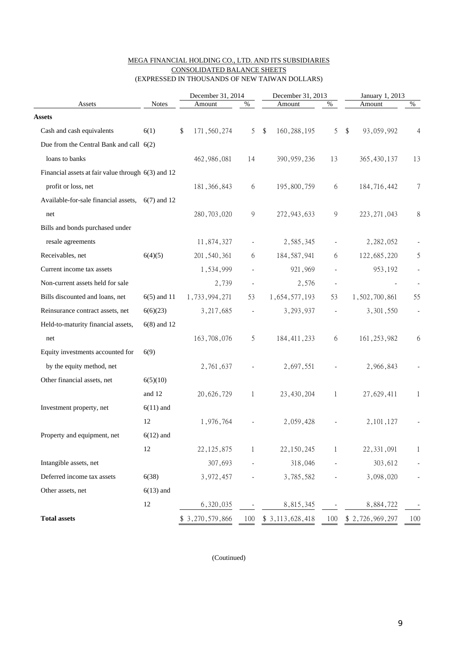#### MEGA FINANCIAL HOLDING CO., LTD. AND ITS SUBSIDIARIES CONSOLIDATED BALANCE SHEETS (EXPRESSED IN THOUSANDS OF NEW TAIWAN DOLLARS)

|                                                      |               | December 31, 2014 |     | December 31, 2013   |     | January 1, 2013  |      |
|------------------------------------------------------|---------------|-------------------|-----|---------------------|-----|------------------|------|
| Assets                                               | <b>Notes</b>  | Amount            | %   | Amount              | %   | Amount           | $\%$ |
| <b>Assets</b>                                        |               |                   |     |                     |     |                  |      |
| Cash and cash equivalents                            | 6(1)          | \$<br>171,560,274 | 5   | 160, 288, 195<br>\$ | 5   | 93,059,992<br>\$ |      |
| Due from the Central Bank and call 6(2)              |               |                   |     |                     |     |                  |      |
| loans to banks                                       |               | 462, 986, 081     | 14  | 390, 959, 236       | 13  | 365, 430, 137    | 13   |
| Financial assets at fair value through $6(3)$ and 12 |               |                   |     |                     |     |                  |      |
| profit or loss, net                                  |               | 181, 366, 843     | 6   | 195,800,759         | 6   | 184,716,442      | 7    |
| Available-for-sale financial assets, 6(7) and 12     |               |                   |     |                     |     |                  |      |
| net                                                  |               | 280, 703, 020     | 9   | 272, 943, 633       | 9   | 223, 271, 043    | 8    |
| Bills and bonds purchased under                      |               |                   |     |                     |     |                  |      |
| resale agreements                                    |               | 11,874,327        |     | 2,585,345           |     | 2, 282, 052      |      |
| Receivables, net                                     | 6(4)(5)       | 201,540,361       | 6   | 184, 587, 941       | 6   | 122, 685, 220    | 5    |
| Current income tax assets                            |               | 1,534,999         |     | 921,969             |     | 953,192          |      |
| Non-current assets held for sale                     |               | 2,739             |     | 2,576               |     |                  |      |
| Bills discounted and loans, net                      | $6(5)$ and 11 | 1,733,994,271     | 53  | 1,654,577,193       | 53  | 1,502,700,861    | 55   |
| Reinsurance contract assets, net                     | 6(6)(23)      | 3,217,685         |     | 3,293,937           |     | 3,301,550        |      |
| Held-to-maturity financial assets,                   | $6(8)$ and 12 |                   |     |                     |     |                  |      |
| net                                                  |               | 163,708,076       | 5   | 184, 411, 233       | 6   | 161, 253, 982    | 6    |
| Equity investments accounted for                     | 6(9)          |                   |     |                     |     |                  |      |
| by the equity method, net                            |               | 2,761,637         |     | 2,697,551           |     | 2,966,843        |      |
| Other financial assets, net                          | 6(5)(10)      |                   |     |                     |     |                  |      |
|                                                      | and 12        | 20,626,729        | 1   | 23, 430, 204        | 1   | 27,629,411       | 1    |
| Investment property, net                             | $6(11)$ and   |                   |     |                     |     |                  |      |
|                                                      | 12            | 1,976,764         |     | 2,059,428           |     | 2, 101, 127      |      |
| Property and equipment, net                          | $6(12)$ and   |                   |     |                     |     |                  |      |
|                                                      | 12            | 22, 125, 875      |     | 22, 150, 245        |     | 22, 331, 091     | 1    |
| Intangible assets, net                               |               | 307,693           |     | 318,046             |     | 303,612          |      |
| Deferred income tax assets                           | 6(38)         | 3,972,457         |     | 3,785,582           |     | 3,098,020        |      |
| Other assets, net                                    | $6(13)$ and   |                   |     |                     |     |                  |      |
|                                                      | 12            | 6,320,035         |     | 8,815,345           |     | 8,884,722        |      |
| <b>Total assets</b>                                  |               | \$ 3,270,579,866  | 100 | \$3,113,628,418     | 100 | \$2,726,969,297  | 100  |

#### (Coutinued)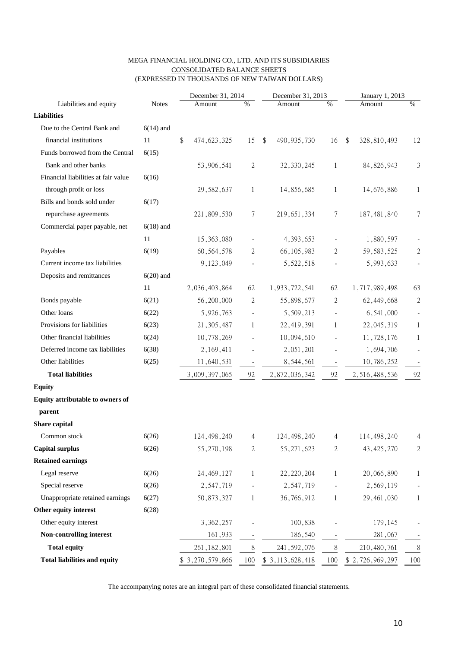#### MEGA FINANCIAL HOLDING CO., LTD. AND ITS SUBSIDIARIES CONSOLIDATED BALANCE SHEETS (EXPRESSED IN THOUSANDS OF NEW TAIWAN DOLLARS)

|                                     |              | December 31, 2014   |                          | December 31, 2013   |                          | January 1, 2013   |                |
|-------------------------------------|--------------|---------------------|--------------------------|---------------------|--------------------------|-------------------|----------------|
| Liabilities and equity              | <b>Notes</b> | Amount              | $\%$                     | Amount              | $\%$                     | Amount            | $\%$           |
| <b>Liabilities</b>                  |              |                     |                          |                     |                          |                   |                |
| Due to the Central Bank and         | $6(14)$ and  |                     |                          |                     |                          |                   |                |
| financial institutions              | 11           | \$<br>474, 623, 325 | 15                       | \$<br>490, 935, 730 | 16                       | 328,810,493<br>\$ | 12             |
| Funds borrowed from the Central     | 6(15)        |                     |                          |                     |                          |                   |                |
| Bank and other banks                |              | 53,906,541          | $\mathfrak{2}$           | 32, 330, 245        | 1                        | 84, 826, 943      | 3              |
| Financial liabilities at fair value | 6(16)        |                     |                          |                     |                          |                   |                |
| through profit or loss              |              | 29, 582, 637        | 1                        | 14,856,685          | 1                        | 14,676,886        | 1              |
| Bills and bonds sold under          | 6(17)        |                     |                          |                     |                          |                   |                |
| repurchase agreements               |              | 221,809,530         | 7                        | 219, 651, 334       | 7                        | 187, 481, 840     | 7              |
| Commercial paper payable, net       | $6(18)$ and  |                     |                          |                     |                          |                   |                |
|                                     | 11           | 15,363,080          |                          | 4, 393, 653         |                          | 1,880,597         |                |
| Payables                            | 6(19)        | 60, 564, 578        | 2                        | 66, 105, 983        | 2                        | 59, 583, 525      | $\overline{c}$ |
| Current income tax liabilities      |              | 9,123,049           |                          | 5,522,518           |                          | 5,993,633         |                |
| Deposits and remittances            | $6(20)$ and  |                     |                          |                     |                          |                   |                |
|                                     | 11           | 2,036,403,864       | 62                       | 1,933,722,541       | 62                       | 1,717,989,498     | 63             |
| Bonds payable                       | 6(21)        | 56,200,000          | 2                        | 55,898,677          | 2                        | 62, 449, 668      | $\mathbf{c}$   |
| Other loans                         | 6(22)        | 5,926,763           | $\overline{\phantom{a}}$ | 5,509,213           | $\overline{\phantom{a}}$ | 6,541,000         |                |
| Provisions for liabilities          | 6(23)        | 21, 305, 487        | 1                        | 22, 419, 391        | 1                        | 22, 045, 319      | 1              |
| Other financial liabilities         | 6(24)        | 10,778,269          | $\overline{\phantom{a}}$ | 10,094,610          | $\overline{\phantom{a}}$ | 11,728,176        | 1              |
| Deferred income tax liabilities     | 6(38)        | 2,169,411           | $\qquad \qquad -$        | 2,051,201           |                          | 1,694,706         |                |
| Other liabilities                   | 6(25)        | 11,640,531          |                          | 8,544,561           |                          | 10,786,252        |                |
| <b>Total liabilities</b>            |              | 3,009,397,065       | 92                       | 2,872,036,342       | 92                       | 2,516,488,536     | 92             |
| <b>Equity</b>                       |              |                     |                          |                     |                          |                   |                |
| Equity attributable to owners of    |              |                     |                          |                     |                          |                   |                |
| parent                              |              |                     |                          |                     |                          |                   |                |
| Share capital                       |              |                     |                          |                     |                          |                   |                |
| Common stock                        | 6(26)        | 124, 498, 240       | 4                        | 124, 498, 240       | 4                        | 114, 498, 240     | 4              |
| <b>Capital surplus</b>              | 6(26)        | 55,270,198          | 2                        | 55, 271, 623        | $\mathbf{2}$             | 43, 425, 270      | $\mathbf{c}$   |
| <b>Retained earnings</b>            |              |                     |                          |                     |                          |                   |                |
| Legal reserve                       | 6(26)        | 24, 469, 127        | 1                        | 22, 220, 204        | 1                        | 20,066,890        |                |
| Special reserve                     | 6(26)        | 2,547,719           |                          | 2,547,719           |                          | 2,569,119         |                |
| Unappropriate retained earnings     | 6(27)        | 50,873,327          | 1                        | 36,766,912          | 1                        | 29, 461, 030      | 1              |
| Other equity interest               | 6(28)        |                     |                          |                     |                          |                   |                |
| Other equity interest               |              | 3, 362, 257         |                          | 100,838             |                          | 179,145           |                |
| Non-controlling interest            |              | 161,933             |                          | 186,540             |                          | 281,067           |                |
| <b>Total equity</b>                 |              | 261, 182, 801       | $8\,$                    | 241, 592, 076       | $8\phantom{.0}$          | 210, 480, 761     | 8              |
| <b>Total liabilities and equity</b> |              | \$3,270,579,866     | 100                      | \$3,113,628,418     | 100                      | \$ 2,726,969,297  | 100            |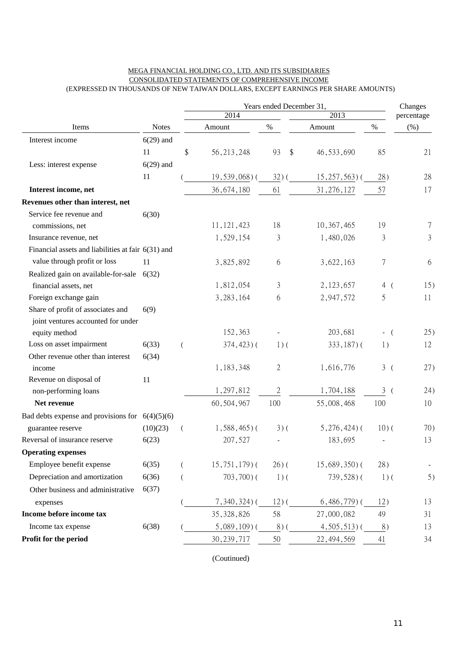#### MEGA FINANCIAL HOLDING CO., LTD. AND ITS SUBSIDIARIES CONSOLIDATED STATEMENTS OF COMPREHENSIVE INCOME (EXPRESSED IN THOUSANDS OF NEW TAIWAN DOLLARS, EXCEPT EARNINGS PER SHARE AMOUNTS)

|                                                      |              |    | Years ended December 31, |                |                    |                                  |            |  |  |  |  |
|------------------------------------------------------|--------------|----|--------------------------|----------------|--------------------|----------------------------------|------------|--|--|--|--|
|                                                      |              |    | $\overline{2014}$        |                | $\overline{2013}$  |                                  | percentage |  |  |  |  |
| Items                                                | <b>Notes</b> |    | Amount                   | $\%$           | Amount             | $\%$                             | (% )       |  |  |  |  |
| Interest income                                      | $6(29)$ and  |    |                          |                |                    |                                  |            |  |  |  |  |
|                                                      | 11           | \$ | 56, 213, 248             | 93<br>\$       | 46,533,690         | 85                               | 21         |  |  |  |  |
| Less: interest expense                               | $6(29)$ and  |    |                          |                |                    |                                  |            |  |  |  |  |
|                                                      | 11           |    | $19,539,068$ ) (         | $32)$ (        | $15, 257, 563$ ) ( | 28)                              | 28         |  |  |  |  |
| Interest income, net                                 |              |    | 36,674,180               | 61             | 31, 276, 127       | 57                               | 17         |  |  |  |  |
| Revenues other than interest, net                    |              |    |                          |                |                    |                                  |            |  |  |  |  |
| Service fee revenue and                              | 6(30)        |    |                          |                |                    |                                  |            |  |  |  |  |
| commissions, net                                     |              |    | 11, 121, 423             | 18             | 10, 367, 465       | 19                               | 7          |  |  |  |  |
| Insurance revenue, net                               |              |    | 1,529,154                | 3              | 1,480,026          | 3                                | 3          |  |  |  |  |
| Financial assets and liabilities at fair $6(31)$ and |              |    |                          |                |                    |                                  |            |  |  |  |  |
| value through profit or loss                         | 11           |    | 3,825,892                | 6              | 3,622,163          | 7                                | 6          |  |  |  |  |
| Realized gain on available-for-sale 6(32)            |              |    |                          |                |                    |                                  |            |  |  |  |  |
| financial assets, net                                |              |    | 1,812,054                | 3              | 2,123,657          | 4(                               | 15)        |  |  |  |  |
| Foreign exchange gain                                |              |    | 3, 283, 164              | 6              | 2,947,572          | 5                                | 11         |  |  |  |  |
| Share of profit of associates and                    | 6(9)         |    |                          |                |                    |                                  |            |  |  |  |  |
| joint ventures accounted for under                   |              |    |                          |                |                    |                                  |            |  |  |  |  |
| equity method                                        |              |    | 152,363                  |                | 203,681            | $-$ (                            | 25)        |  |  |  |  |
| Loss on asset impairment                             | 6(33)        | (  | $374,423$ ) (            | $1)$ (         | $333,187$ ) (      | 1)                               | 12         |  |  |  |  |
| Other revenue other than interest                    | 6(34)        |    |                          |                |                    |                                  |            |  |  |  |  |
| income                                               |              |    | 1,183,348                | $\overline{2}$ | 1,616,776          | 3(                               | 27)        |  |  |  |  |
| Revenue on disposal of                               | 11           |    |                          |                |                    |                                  |            |  |  |  |  |
| non-performing loans                                 |              |    | 1,297,812                | $\mathfrak{2}$ | 1,704,188          | $\mathfrak{Z}$<br>$\overline{(}$ | 24)        |  |  |  |  |
| Net revenue                                          |              |    | 60,504,967               | 100            | 55,008,468         | 100                              | 10         |  |  |  |  |
| Bad debts expense and provisions for $6(4)(5)(6)$    |              |    |                          |                |                    |                                  |            |  |  |  |  |
| guarantee reserve                                    | (10)(23)     |    | $1,588,465$ ) (          | $3)$ (         | $5,276,424$ ) (    | $10)$ (                          | 70)        |  |  |  |  |
| Reversal of insurance reserve                        | 6(23)        |    | 207,527                  |                | 183,695            |                                  | 13         |  |  |  |  |
| <b>Operating expenses</b>                            |              |    |                          |                |                    |                                  |            |  |  |  |  |
| Employee benefit expense                             | 6(35)        |    | $15,751,179$ ) (         | $26)$ (        | $15,689,350$ (     | 28)                              |            |  |  |  |  |
| Depreciation and amortization                        | 6(36)        |    | $703,700$ ) (            | $1)$ (         | $739,528$ )(       | $1)$ (                           | 5)         |  |  |  |  |
| Other business and administrative                    | 6(37)        |    |                          |                |                    |                                  |            |  |  |  |  |
| expenses                                             |              |    | $7,340,324$ ) (          | $12)$ (        | $(6, 486, 779)$ (  | 12)                              | 13         |  |  |  |  |
| Income before income tax                             |              |    | 35, 328, 826             | 58             | 27,000,082         | 49                               | 31         |  |  |  |  |
| Income tax expense                                   | 6(38)        |    | $5,089,109$ ) (          | $8)$ (         | $4,505,513$ (      | 8)                               | 13         |  |  |  |  |
| Profit for the period                                |              |    | 30, 239, 717             | 50             | 22, 494, 569       | 41                               | 34         |  |  |  |  |

(Coutinued)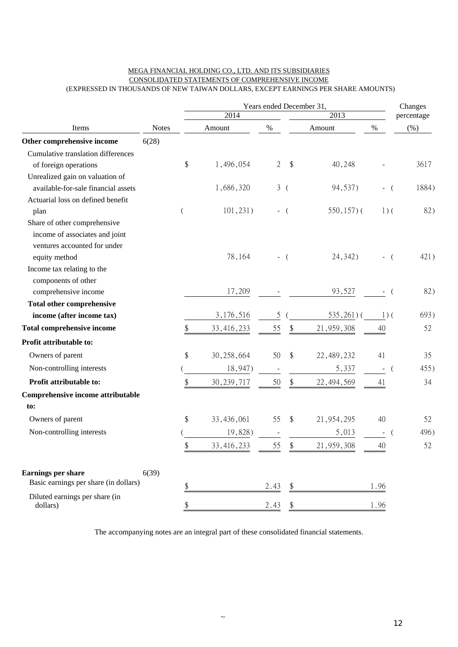#### MEGA FINANCIAL HOLDING CO., LTD. AND ITS SUBSIDIARIES CONSOLIDATED STATEMENTS OF COMPREHENSIVE INCOME (EXPRESSED IN THOUSANDS OF NEW TAIWAN DOLLARS, EXCEPT EARNINGS PER SHARE AMOUNTS)

|                                       |              | Years ended December 31, |                |          |                |                                    |            |  |  |  |
|---------------------------------------|--------------|--------------------------|----------------|----------|----------------|------------------------------------|------------|--|--|--|
|                                       |              | 2014                     |                |          | 2013           |                                    | percentage |  |  |  |
| Items                                 | <b>Notes</b> | Amount                   | $\%$           |          | Amount         | $\%$                               | (% )       |  |  |  |
| Other comprehensive income            | 6(28)        |                          |                |          |                |                                    |            |  |  |  |
| Cumulative translation differences    |              |                          |                |          |                |                                    |            |  |  |  |
| of foreign operations                 |              | \$<br>1,496,054          | $\overline{2}$ | \$       | 40,248         |                                    | 3617       |  |  |  |
| Unrealized gain on valuation of       |              |                          |                |          |                |                                    |            |  |  |  |
| available-for-sale financial assets   |              | 1,686,320                | 3              | $\left($ | 94,537)        | $-$ (                              | 1884)      |  |  |  |
| Actuarial loss on defined benefit     |              |                          |                |          |                |                                    |            |  |  |  |
| plan                                  |              | 101,231)                 | $-$ (          |          | $550, 157$ ) ( | $1)$ (                             | 82)        |  |  |  |
| Share of other comprehensive          |              |                          |                |          |                |                                    |            |  |  |  |
| income of associates and joint        |              |                          |                |          |                |                                    |            |  |  |  |
| ventures accounted for under          |              |                          |                |          |                |                                    |            |  |  |  |
| equity method                         |              | 78,164                   | $-$ (          |          | 24, 342)       | $\sqrt{2}$<br>$\blacksquare$       | 421)       |  |  |  |
| Income tax relating to the            |              |                          |                |          |                |                                    |            |  |  |  |
| components of other                   |              |                          |                |          |                |                                    |            |  |  |  |
| comprehensive income                  |              | 17,209                   |                |          | 93,527         | $\overline{ }$                     | 82)        |  |  |  |
| <b>Total other comprehensive</b>      |              |                          |                |          |                |                                    |            |  |  |  |
| income (after income tax)             |              | 3,176,516                | 5              |          | $535,261$ ) (  | $1)$ (                             | 693)       |  |  |  |
| <b>Total comprehensive income</b>     |              | \$<br>33, 416, 233       | $\frac{55}{1}$ | \$       | 21, 959, 308   | 40                                 | 52         |  |  |  |
| Profit attributable to:               |              |                          |                |          |                |                                    |            |  |  |  |
| Owners of parent                      |              | \$<br>30,258,664         | 50             | \$       | 22, 489, 232   | 41                                 | 35         |  |  |  |
| Non-controlling interests             |              | 18,947)                  |                |          | 5,337          | $\overline{(\ }$<br>$\blacksquare$ | 455)       |  |  |  |
| Profit attributable to:               |              | \$<br>30, 239, 717       | 50             | \$       | 22, 494, 569   | 41                                 | 34         |  |  |  |
| Comprehensive income attributable     |              |                          |                |          |                |                                    |            |  |  |  |
| to:                                   |              |                          |                |          |                |                                    |            |  |  |  |
| Owners of parent                      |              | \$<br>33,436,061         | 55             | \$       | 21, 954, 295   | 40                                 | 52         |  |  |  |
| Non-controlling interests             |              | 19,828)                  |                |          | 5,013          |                                    | 496)       |  |  |  |
|                                       |              | \$<br>33, 416, 233       | 55             | \$       | 21,959,308     | 40                                 | 52         |  |  |  |
| <b>Earnings per share</b>             | 6(39)        |                          |                |          |                |                                    |            |  |  |  |
| Basic earnings per share (in dollars) |              | \$                       | 2.43           |          |                | 1.96                               |            |  |  |  |
| Diluted earnings per share (in        |              |                          |                |          |                |                                    |            |  |  |  |
| dollars)                              |              |                          | 2.43           |          |                | 1.96                               |            |  |  |  |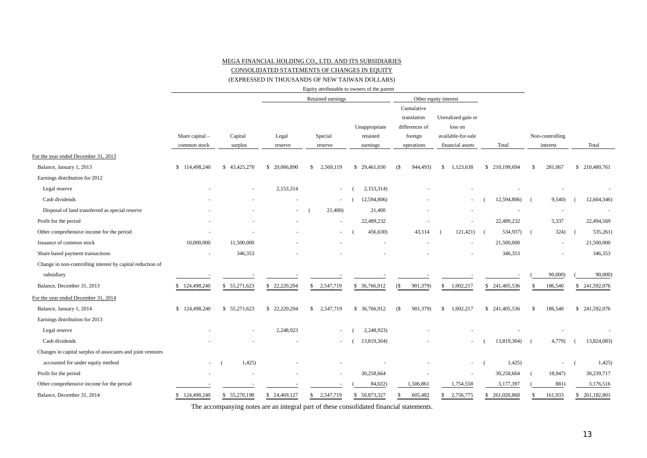#### MEGA FINANCIAL HOLDING CO., LTD. AND ITS SUBSIDIARIES

#### CONSOLIDATED STATEMENTS OF CHANGES IN EQUITY

#### (EXPRESSED IN THOUSANDS OF NEW TAIWAN DOLLARS)

|                                                             |                   |                  |                  | Equity attributable to owners of the parent |               |                                             |                               |                |                      |                |
|-------------------------------------------------------------|-------------------|------------------|------------------|---------------------------------------------|---------------|---------------------------------------------|-------------------------------|----------------|----------------------|----------------|
|                                                             |                   |                  |                  | Retained earnings                           |               |                                             | Other equity interest         |                |                      |                |
|                                                             |                   |                  |                  |                                             | Unappropriate | Cumulative<br>translation<br>differences of | Unrealized gain or<br>loss on |                |                      |                |
|                                                             | Share capital -   | Capital          | Legal            | Special                                     | retained      | foreign                                     | available-for-sale            |                | Non-controlling      |                |
|                                                             | common stock      | surplus          | reserve          | reserve                                     | earnings      | operations                                  | financial assets              | Total          | interest             | Total          |
| For the year ended December 31, 2013                        |                   |                  |                  |                                             |               |                                             |                               |                |                      |                |
| Balance, January 1, 2013                                    | \$114,498,240     | \$43,425,270     | \$ 20,066,890    | 2,569,119<br>$\mathbb{S}$                   | \$ 29,461,030 | (S<br>944,493)                              | <sup>\$</sup><br>1,123,638    | \$ 210,199,694 | \$<br>281,067        | \$ 210,480,761 |
| Earnings distribution for 2012                              |                   |                  |                  |                                             |               |                                             |                               |                |                      |                |
| Legal reserve                                               |                   | $\sim$           | 2,153,314        | $\overline{\phantom{a}}$                    | 2,153,314)    |                                             |                               |                |                      |                |
| Cash dividends                                              |                   |                  |                  |                                             | 12,594,806)   |                                             |                               | 12,594,806)    | 9,540)<br>$\epsilon$ | 12,604,346)    |
| Disposal of land transferred as special reserve             |                   |                  |                  | 21,400)                                     | 21,400        |                                             |                               |                |                      |                |
| Profit for the period                                       |                   |                  |                  |                                             | 22,489,232    |                                             |                               | 22,489,232     | 5,337                | 22,494,569     |
| Other comprehensive income for the period                   |                   |                  |                  |                                             | 456,630)      | 43,114                                      | 121,421)                      | 534,937)       | 324)                 | 535,261)       |
| Issuance of common stock                                    | 10,000,000        | 11,500,000       |                  |                                             |               |                                             |                               | 21,500,000     | $\sim$               | 21,500,000     |
| Share based payment transactions                            |                   | 346,353          |                  |                                             |               |                                             |                               | 346,353        |                      | 346,353        |
| Change in non-controlling interest by capital reduction of  |                   |                  |                  |                                             |               |                                             |                               |                |                      |                |
| subsidiary                                                  |                   |                  |                  |                                             |               |                                             |                               |                | 90,000)              | 90,000)        |
| Balance, December 31, 2013                                  | 124,498,240<br>S. | 55,271,623<br>S. | 22,220,204<br>\$ | 2,547,719                                   | \$ 36,766,912 | 901,379)<br>(S)                             | \$1,002,217                   | \$ 241,405,536 | 186,540              | \$241,592,076  |
| For the year ended December 31, 2014                        |                   |                  |                  |                                             |               |                                             |                               |                |                      |                |
| Balance, January 1, 2014                                    | \$124,498,240     | \$ 55,271,623    | \$22,220,204     | \$2,547,719                                 | \$ 36,766,912 | (S<br>901,379)                              | 1,002,217<br>\$               | \$241,405,536  | \$<br>186,540        | \$241,592,076  |
| Earnings distribution for 2013                              |                   |                  |                  |                                             |               |                                             |                               |                |                      |                |
| Legal reserve                                               |                   |                  | 2,248,923        |                                             | 2,248,923)    |                                             |                               |                |                      |                |
| Cash dividends                                              |                   |                  |                  |                                             | 13,819,304)   |                                             |                               | 13,819,304)    | 4,779)<br>$\sqrt{2}$ | 13,824,083)    |
| Changes in capital surplus of associates and joint ventures |                   |                  |                  |                                             |               |                                             |                               |                |                      |                |
| accounted for under equity method                           | $\sim$            | 1,425)           |                  |                                             |               |                                             |                               | 1,425)         |                      | 1,425          |
| Profit for the period                                       |                   |                  |                  |                                             | 30,258,664    |                                             |                               | 30,258,664     | 18,947)              | 30,239,717     |
| Other comprehensive income for the period                   |                   |                  |                  |                                             | 84,022)       | 1,506,861                                   | 1,754,558                     | 3,177,397      | 881)                 | 3,176,516      |
| Balance, December 31, 2014                                  | \$124,498,240     | \$ 55,270,198    | \$24,469,127     | $\mathbf{\hat{s}}$<br>2,547,719             | \$ 50,873,327 | 605,482<br>\$                               | \$2,756,775                   | \$261,020,868  | 161,933<br>\$        | \$261,182,801  |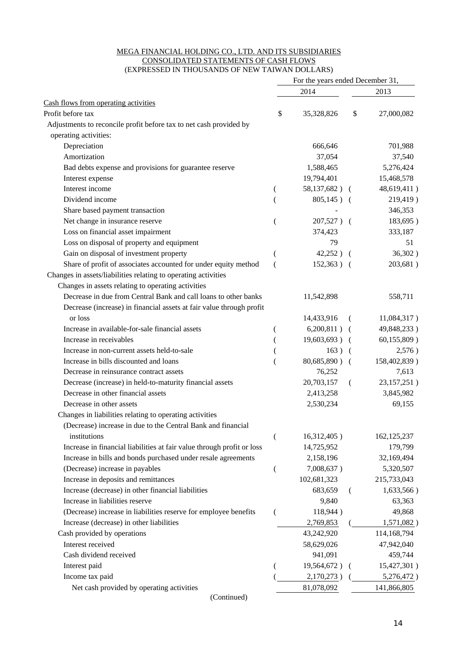#### MEGA FINANCIAL HOLDING CO., LTD. AND ITS SUBSIDIARIES CONSOLIDATED STATEMENTS OF CASH FLOWS (EXPRESSED IN THOUSANDS OF NEW TAIWAN DOLLARS)

|                                                                        | For the years ended December 31, |                |                |               |
|------------------------------------------------------------------------|----------------------------------|----------------|----------------|---------------|
|                                                                        |                                  | 2014           |                | 2013          |
| Cash flows from operating activities                                   |                                  |                |                |               |
| Profit before tax                                                      | \$                               | 35,328,826     | \$             | 27,000,082    |
| Adjustments to reconcile profit before tax to net cash provided by     |                                  |                |                |               |
| operating activities:                                                  |                                  |                |                |               |
| Depreciation                                                           |                                  | 666,646        |                | 701,988       |
| Amortization                                                           |                                  | 37,054         |                | 37,540        |
| Bad debts expense and provisions for guarantee reserve                 |                                  | 1,588,465      |                | 5,276,424     |
| Interest expense                                                       |                                  | 19,794,401     |                | 15,468,578    |
| Interest income                                                        | $\overline{\phantom{a}}$         | 58,137,682) (  |                | 48,619,411)   |
| Dividend income                                                        |                                  | $805,145$ ) (  |                | 219,419)      |
| Share based payment transaction                                        |                                  |                |                | 346,353       |
| Net change in insurance reserve                                        |                                  | $207,527$ ) (  |                | 183,695)      |
| Loss on financial asset impairment                                     |                                  | 374,423        |                | 333,187       |
| Loss on disposal of property and equipment                             |                                  | 79             |                | 51            |
| Gain on disposal of investment property                                | (                                | $42,252$ ) (   |                | 36,302)       |
| Share of profit of associates accounted for under equity method        |                                  | $152,363$ ) (  |                | 203,681)      |
| Changes in assets/liabilities relating to operating activities         |                                  |                |                |               |
| Changes in assets relating to operating activities                     |                                  |                |                |               |
| Decrease in due from Central Bank and call loans to other banks        |                                  | 11,542,898     |                | 558,711       |
| Decrease (increase) in financial assets at fair value through profit   |                                  |                |                |               |
| or loss                                                                |                                  | 14,433,916     | (              | 11,084,317)   |
| Increase in available-for-sale financial assets                        | $\overline{\mathcal{L}}$         | $6,200,811)$ ( |                | 49,848,233)   |
| Increase in receivables                                                |                                  | 19,603,693) (  |                | 60,155,809)   |
| Increase in non-current assets held-to-sale                            |                                  | 163)           | $\overline{ }$ | 2,576)        |
| Increase in bills discounted and loans                                 |                                  | 80,685,890) (  |                | 158,402,839)  |
| Decrease in reinsurance contract assets                                |                                  | 76,252         |                | 7,613         |
| Decrease (increase) in held-to-maturity financial assets               |                                  | 20,703,157     | $\left($       | 23,157,251)   |
| Decrease in other financial assets                                     |                                  | 2,413,258      |                | 3,845,982     |
| Decrease in other assets                                               |                                  | 2,530,234      |                | 69,155        |
| Changes in liabilities relating to operating activities                |                                  |                |                |               |
| (Decrease) increase in due to the Central Bank and financial           |                                  |                |                |               |
| institutions                                                           | (                                | 16,312,405)    |                | 162, 125, 237 |
| Increase in financial liabilities at fair value through profit or loss |                                  | 14,725,952     |                | 179,799       |
| Increase in bills and bonds purchased under resale agreements          |                                  | 2,158,196      |                | 32,169,494    |
| (Decrease) increase in payables                                        | (                                | 7,008,637)     |                | 5,320,507     |
| Increase in deposits and remittances                                   |                                  | 102,681,323    |                | 215,733,043   |
| Increase (decrease) in other financial liabilities                     |                                  | 683,659        | €              | 1,633,566)    |
| Increase in liabilities reserve                                        |                                  | 9,840          |                | 63,363        |
| (Decrease) increase in liabilities reserve for employee benefits       | (                                | 118,944)       |                | 49,868        |
| Increase (decrease) in other liabilities                               |                                  | 2,769,853      |                | 1,571,082)    |
| Cash provided by operations                                            |                                  | 43,242,920     |                | 114,168,794   |
| Interest received                                                      |                                  | 58,629,026     |                | 47,942,040    |
| Cash dividend received                                                 |                                  | 941,091        |                | 459,744       |
| Interest paid                                                          |                                  | 19,564,672)    | (              | 15,427,301)   |
| Income tax paid                                                        |                                  | 2,170,273)     |                | 5,276,472)    |
| Net cash provided by operating activities                              |                                  | 81,078,092     |                | 141,866,805   |

(Continued)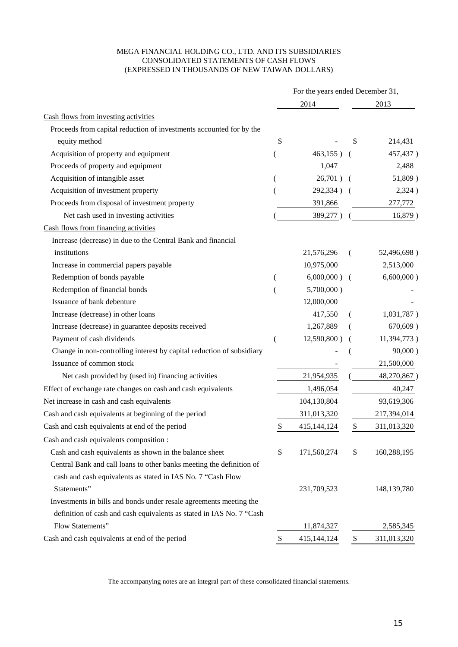#### MEGA FINANCIAL HOLDING CO., LTD. AND ITS SUBSIDIARIES CONSOLIDATED STATEMENTS OF CASH FLOWS (EXPRESSED IN THOUSANDS OF NEW TAIWAN DOLLARS)

|                                                                       | For the years ended December 31, |                 |          |               |  |
|-----------------------------------------------------------------------|----------------------------------|-----------------|----------|---------------|--|
|                                                                       |                                  | 2014            |          | 2013          |  |
| Cash flows from investing activities                                  |                                  |                 |          |               |  |
| Proceeds from capital reduction of investments accounted for by the   |                                  |                 |          |               |  |
| equity method                                                         | \$                               |                 | \$       | 214,431       |  |
| Acquisition of property and equipment                                 |                                  | 463,155)        | (        | 457,437)      |  |
| Proceeds of property and equipment                                    |                                  | 1,047           |          | 2,488         |  |
| Acquisition of intangible asset                                       | $\overline{(}$                   | 26,701)         | $\left($ | 51,809)       |  |
| Acquisition of investment property                                    |                                  | 292,334)        |          | 2,324)        |  |
| Proceeds from disposal of investment property                         |                                  | 391,866         |          | 277,772       |  |
| Net cash used in investing activities                                 |                                  | 389,277)        |          | 16,879)       |  |
| Cash flows from financing activities                                  |                                  |                 |          |               |  |
| Increase (decrease) in due to the Central Bank and financial          |                                  |                 |          |               |  |
| institutions                                                          |                                  | 21,576,296      | €        | 52,496,698)   |  |
| Increase in commercial papers payable                                 |                                  | 10,975,000      |          | 2,513,000     |  |
| Redemption of bonds payable                                           | $\overline{\mathcal{L}}$         | $6,000,000$ ) ( |          | $6,600,000$ ) |  |
| Redemption of financial bonds                                         |                                  | $5,700,000$ )   |          |               |  |
| Issuance of bank debenture                                            |                                  | 12,000,000      |          |               |  |
| Increase (decrease) in other loans                                    |                                  | 417,550         |          | 1,031,787)    |  |
| Increase (decrease) in guarantee deposits received                    |                                  | 1,267,889       |          | 670,609)      |  |
| Payment of cash dividends                                             | (                                | 12,590,800)     |          | 11,394,773)   |  |
| Change in non-controlling interest by capital reduction of subsidiary |                                  |                 |          | $90,000$ )    |  |
| Issuance of common stock                                              |                                  |                 |          | 21,500,000    |  |
| Net cash provided by (used in) financing activities                   |                                  | 21,954,935      |          | 48,270,867)   |  |
| Effect of exchange rate changes on cash and cash equivalents          |                                  | 1,496,054       |          | 40,247        |  |
| Net increase in cash and cash equivalents                             |                                  | 104,130,804     |          | 93,619,306    |  |
| Cash and cash equivalents at beginning of the period                  |                                  | 311,013,320     |          | 217,394,014   |  |
| Cash and cash equivalents at end of the period                        | \$                               | 415,144,124     | \$       | 311,013,320   |  |
| Cash and cash equivalents composition :                               |                                  |                 |          |               |  |
| Cash and cash equivalents as shown in the balance sheet               | \$                               | 171,560,274     | \$       | 160,288,195   |  |
| Central Bank and call loans to other banks meeting the definition of  |                                  |                 |          |               |  |
| cash and cash equivalents as stated in IAS No. 7 "Cash Flow           |                                  |                 |          |               |  |
| Statements"                                                           |                                  | 231,709,523     |          | 148,139,780   |  |
| Investments in bills and bonds under resale agreements meeting the    |                                  |                 |          |               |  |
| definition of cash and cash equivalents as stated in IAS No. 7 "Cash  |                                  |                 |          |               |  |
| Flow Statements"                                                      |                                  | 11,874,327      |          | 2,585,345     |  |
| Cash and cash equivalents at end of the period                        | \$                               | 415,144,124     | \$       | 311,013,320   |  |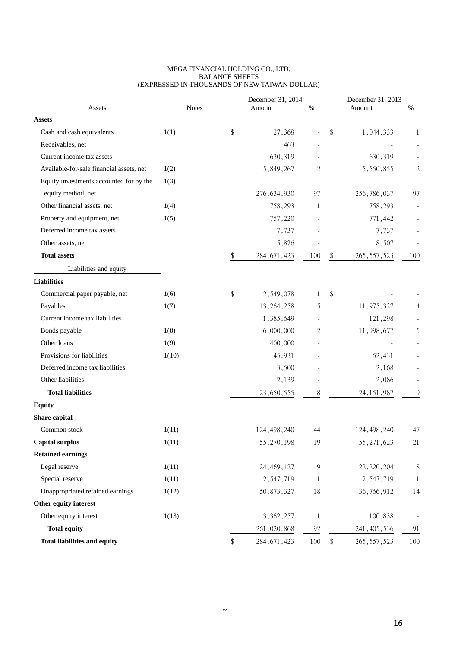|                                          |              | December 31, 2014   |                          |               | December 31, 2013 |           |
|------------------------------------------|--------------|---------------------|--------------------------|---------------|-------------------|-----------|
| Assets                                   | <b>Notes</b> | Amount              | $\%$                     |               | Amount            | $\%$      |
| <b>Assets</b>                            |              |                     |                          |               |                   |           |
| Cash and cash equivalents                | 1(1)         | \$<br>27,368        |                          | \$            | 1,044,333         |           |
| Receivables, net                         |              | 463                 |                          |               |                   |           |
| Current income tax assets                |              | 630,319             |                          |               | 630,319           |           |
| Available-for-sale financial assets, net | 1(2)         | 5,849,267           | 2                        |               | 5,550,855         | 2         |
| Equity investments accounted for by the  | 1(3)         |                     |                          |               |                   |           |
| equity method, net                       |              | 276,634,930         | 97                       |               | 256,786,037       | 97        |
| Other financial assets, net              | 1(4)         | 758,293             | 1                        |               | 758,293           |           |
| Property and equipment, net              | 1(5)         | 757,220             |                          |               | 771,442           |           |
| Deferred income tax assets               |              | 7,737               |                          |               | 7,737             |           |
| Other assets, net                        |              | 5,826               |                          |               | 8,507             |           |
| <b>Total assets</b>                      |              | \$<br>284, 671, 423 | 100                      | \$            | 265, 557, 523     | 100       |
| Liabilities and equity                   |              |                     |                          |               |                   |           |
| <b>Liabilities</b>                       |              |                     |                          |               |                   |           |
| Commercial paper payable, net            | 1(6)         | \$<br>2,549,078     | 1                        | \$            |                   |           |
| Payables                                 | 1(7)         | 13, 264, 258        | 5                        |               | 11,975,327        |           |
| Current income tax liabilities           |              | 1,385,649           | $\overline{\phantom{a}}$ |               | 121,298           |           |
| Bonds payable                            | 1(8)         | 6,000,000           | 2                        |               | 11,998,677        | 5         |
| Other loans                              | 1(9)         | 400,000             |                          |               |                   |           |
| Provisions for liabilities               | 1(10)        | 45,931              |                          |               | 52,431            |           |
| Deferred income tax liabilities          |              | 3,500               |                          |               | 2,168             |           |
| Other liabilities                        |              | 2,139               |                          |               | 2,086             |           |
| <b>Total liabilities</b>                 |              | 23,650,555          | 8                        |               | 24, 151, 987      | 9         |
| <b>Equity</b>                            |              |                     |                          |               |                   |           |
| Share capital                            |              |                     |                          |               |                   |           |
| Common stock                             | 1(11)        | 124, 498, 240       | 44                       |               | 124, 498, 240     | 47        |
| <b>Capital surplus</b>                   | 1(11)        | 55,270,198          | 19                       |               | 55, 271, 623      | 21        |
| <b>Retained earnings</b>                 |              |                     |                          |               |                   |           |
| Legal reserve                            | 1(11)        | 24, 469, 127        | $\overline{9}$           |               | 22, 220, 204      | $\,$ $\,$ |
| Special reserve                          | 1(11)        | 2,547,719           | 1                        |               | 2,547,719         | -1        |
| Unappropriated retained earnings         | 1(12)        | 50,873,327          | 18                       |               | 36,766,912        | 14        |
| Other equity interest                    |              |                     |                          |               |                   |           |
| Other equity interest                    | 1(13)        | 3, 362, 257         | $\mathbf{1}$             |               | 100,838           |           |
| <b>Total equity</b>                      |              | 261,020,868         | 92                       |               | 241, 405, 536     | 91        |
| <b>Total liabilities and equity</b>      |              | \$<br>284, 671, 423 | 100                      | $\frac{1}{2}$ | 265, 557, 523     | 100       |

#### MEGA FINANCIAL HOLDING CO., LTD. BALANCE SHEETS (EXPRESSED IN THOUSANDS OF NEW TAIWAN DOLLAR)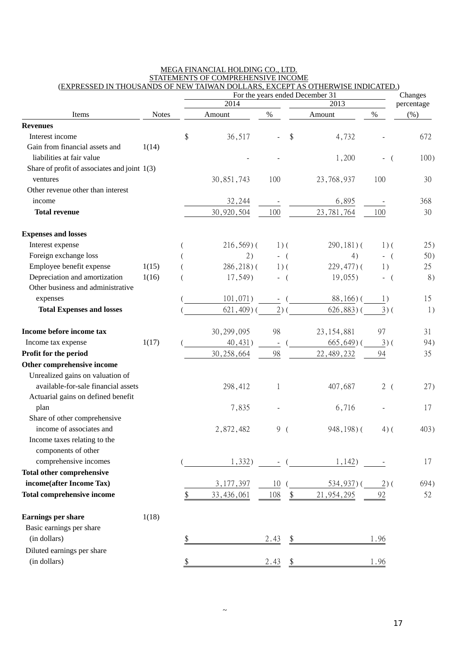| (EXPRESSED IN THOUSANDS OF NEW TAIWAN DOLLARS, EXCEPT AS OTHERWISE INDICATED.) |              |    | Changes        |                          |                                         |        |            |  |
|--------------------------------------------------------------------------------|--------------|----|----------------|--------------------------|-----------------------------------------|--------|------------|--|
|                                                                                |              |    | 2014           |                          | For the years ended December 31<br>2013 |        | percentage |  |
| Items                                                                          | <b>Notes</b> |    | Amount         | $\%$                     | Amount                                  | $\%$   | (% )       |  |
| <b>Revenues</b>                                                                |              |    |                |                          |                                         |        |            |  |
| Interest income                                                                |              | \$ | 36,517         |                          | \$<br>4,732                             |        | 672        |  |
| Gain from financial assets and                                                 | 1(14)        |    |                |                          |                                         |        |            |  |
| liabilities at fair value                                                      |              |    |                |                          | 1,200                                   |        | 100)       |  |
| Share of profit of associates and joint $1(3)$                                 |              |    |                |                          |                                         |        |            |  |
| ventures                                                                       |              |    | 30,851,743     | 100                      | 23,768,937                              | 100    | 30         |  |
| Other revenue other than interest                                              |              |    |                |                          |                                         |        |            |  |
| income                                                                         |              |    | 32,244         |                          | 6,895                                   |        | 368        |  |
| <b>Total revenue</b>                                                           |              |    | 30,920,504     | 100                      | 23,781,764                              | 100    | 30         |  |
| <b>Expenses and losses</b>                                                     |              |    |                |                          |                                         |        |            |  |
| Interest expense                                                               |              |    | $216,569$ ) (  | $1)$ (                   | $290, 181$ ) (                          | $1)$ ( | 25)        |  |
| Foreign exchange loss                                                          |              |    | 2)             | - (                      | 4)                                      | - (    | 50)        |  |
| Employee benefit expense                                                       | 1(15)        |    | $286, 218$ ) ( | $1)$ (                   | $229,477$ ) (                           | 1)     | 25         |  |
| Depreciation and amortization                                                  | 1(16)        |    | 17,549)        | - (                      | $19,055$ )                              | $-$ (  | 8)         |  |
| Other business and administrative                                              |              |    |                |                          |                                         |        |            |  |
| expenses                                                                       |              |    | 101,071)       |                          | $88,166$ ) (                            | 1)     | 15         |  |
| <b>Total Expenses and losses</b>                                               |              |    | $621,409$ ) (  | $2)$ (                   | $626,883$ )(                            | $3)$ ( | 1)         |  |
| Income before income tax                                                       |              |    | 30,299,095     | 98                       | 23, 154, 881                            | 97     | 31         |  |
| Income tax expense                                                             | 1(17)        |    | 40,431)        | $\overline{\phantom{a}}$ | $665,649$ ) (                           | $3)$ ( | 94)        |  |
| Profit for the period                                                          |              |    | 30,258,664     | 98                       | 22, 489, 232                            | 94     | 35         |  |
| Other comprehensive income                                                     |              |    |                |                          |                                         |        |            |  |
| Unrealized gains on valuation of                                               |              |    |                |                          |                                         |        |            |  |
| available-for-sale financial assets                                            |              |    | 298,412        | 1                        | 407,687                                 | 2(     | 27)        |  |
| Actuarial gains on defined benefit                                             |              |    |                |                          |                                         |        |            |  |
| plan                                                                           |              |    | 7,835          |                          | 6,716                                   |        | 17         |  |
| Share of other comprehensive                                                   |              |    |                |                          |                                         |        |            |  |
| income of associates and                                                       |              |    | 2,872,482      | 9(                       | 948, 198) (                             | $4)$ ( | 403)       |  |
| Income taxes relating to the                                                   |              |    |                |                          |                                         |        |            |  |
| components of other                                                            |              |    |                |                          |                                         |        |            |  |
| comprehensive incomes                                                          |              |    | 1,332)         |                          | 1,142)                                  |        | 17         |  |
| <b>Total other comprehensive</b>                                               |              |    |                |                          |                                         |        |            |  |
| income(after Income Tax)                                                       |              |    | 3,177,397      | 10                       | $534,937$ ) (                           | $2)$ ( | 694)       |  |
| <b>Total comprehensive income</b>                                              |              | \$ | 33,436,061     | 108                      | 21, 954, 295                            | 92     | 52         |  |
| Earnings per share                                                             | 1(18)        |    |                |                          |                                         |        |            |  |
| Basic earnings per share                                                       |              |    |                |                          |                                         |        |            |  |
| (in dollars)                                                                   |              |    |                | 2.43                     |                                         | 1.96   |            |  |
| Diluted earnings per share                                                     |              |    |                |                          |                                         |        |            |  |
| (in dollars)                                                                   |              |    |                | 2.43                     |                                         | 1.96   |            |  |

### MEGA FINANCIAL HOLDING CO., LTD. STATEMENTS OF COMPREHENSIVE INCOME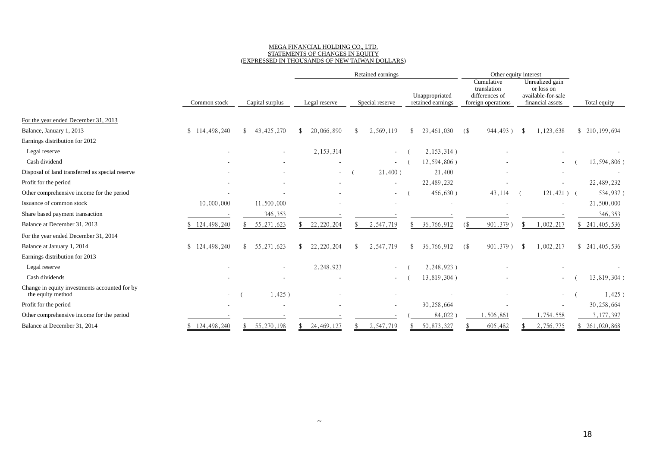#### MEGA FINANCIAL HOLDING CO., LTD. STATEMENTS OF CHANGES IN EQUITY (EXPRESSED IN THOUSANDS OF NEW TAIWAN DOLLARS)

|                                                                    |               |     |                          | Retained earnings |                          |    |                 |    |                                     | Other equity interest |                                                                   |     |                                                                         |               |
|--------------------------------------------------------------------|---------------|-----|--------------------------|-------------------|--------------------------|----|-----------------|----|-------------------------------------|-----------------------|-------------------------------------------------------------------|-----|-------------------------------------------------------------------------|---------------|
|                                                                    | Common stock  |     | Capital surplus          |                   | Legal reserve            |    | Special reserve |    | Unappropriated<br>retained earnings |                       | Cumulative<br>translation<br>differences of<br>foreign operations |     | Unrealized gain<br>or loss on<br>available-for-sale<br>financial assets | Total equity  |
| For the year ended December 31, 2013                               |               |     |                          |                   |                          |    |                 |    |                                     |                       |                                                                   |     |                                                                         |               |
| Balance, January 1, 2013                                           | \$114,498,240 |     | 43, 425, 270             |                   | 20,066,890               |    | 2,569,119       |    | 29,461,030                          | (                     | 944, 493)                                                         |     | 1,123,638                                                               | \$210,199,694 |
| Earnings distribution for 2012                                     |               |     |                          |                   |                          |    |                 |    |                                     |                       |                                                                   |     |                                                                         |               |
| Legal reserve                                                      |               |     | $\overline{\phantom{a}}$ |                   | 2, 153, 314              |    | $\sim$          |    | $2, 153, 314$ )                     |                       |                                                                   |     |                                                                         |               |
| Cash dividend                                                      |               |     |                          |                   |                          |    |                 |    | 12,594,806)                         |                       |                                                                   |     |                                                                         | 12,594,806)   |
| Disposal of land transferred as special reserve                    |               |     |                          |                   | $\overline{\phantom{a}}$ |    | $21,400$ )      |    | 21,400                              |                       |                                                                   |     |                                                                         |               |
| Profit for the period                                              |               |     |                          |                   |                          |    |                 |    | 22, 489, 232                        |                       |                                                                   |     |                                                                         | 22, 489, 232  |
| Other comprehensive income for the period                          |               |     |                          |                   |                          |    | $\sim$          |    | 456,630)                            |                       | 43,114                                                            |     | $121,421)$ (                                                            | 534,937)      |
| Issuance of common stock                                           | 10,000,000    |     | 11,500,000               |                   |                          |    |                 |    |                                     |                       |                                                                   |     |                                                                         | 21,500,000    |
| Share based payment transaction                                    |               |     | 346,353                  |                   |                          |    |                 |    |                                     |                       |                                                                   |     |                                                                         | 346,353       |
| Balance at December 31, 2013                                       | \$124,498,240 |     | 55, 271, 623             |                   | 22, 220, 204             |    | 2,547,719       |    | 36,766,912                          | (\$                   | 901,379)                                                          |     | 1,002,217                                                               | \$241,405,536 |
| For the year ended December 31, 2014                               |               |     |                          |                   |                          |    |                 |    |                                     |                       |                                                                   |     |                                                                         |               |
| Balance at January 1, 2014                                         | \$124,498,240 | \$. | 55, 271, 623             | $\mathbb{S}$      | 22, 220, 204             | \$ | 2,547,719       | \$ | 36,766,912                          | (                     | 901,379)                                                          | -\$ | 1,002,217                                                               | \$241,405,536 |
| Earnings distribution for 2013                                     |               |     |                          |                   |                          |    |                 |    |                                     |                       |                                                                   |     |                                                                         |               |
| Legal reserve                                                      |               |     | $\overline{\phantom{a}}$ |                   | 2, 248, 923              |    | $\sim$          |    | 2,248,923)                          |                       |                                                                   |     |                                                                         |               |
| Cash dividends                                                     |               |     |                          |                   |                          |    | $\sim$          |    | 13,819,304)                         |                       |                                                                   |     |                                                                         | 13,819,304)   |
| Change in equity investments accounted for by<br>the equity method | $\sim$        |     | $1,425$ )                |                   |                          |    |                 |    |                                     |                       |                                                                   |     |                                                                         | 1,425)        |
| Profit for the period                                              |               |     |                          |                   |                          |    |                 |    | 30, 258, 664                        |                       |                                                                   |     |                                                                         | 30,258,664    |
| Other comprehensive income for the period                          |               |     |                          |                   |                          |    |                 |    | 84,022                              |                       | ,506,861                                                          |     | 1,754,558                                                               | 3, 177, 397   |
| Balance at December 31, 2014                                       | 124, 498, 240 |     | 55,270,198               |                   | 24, 469, 127             |    | 2,547,719       |    | 50,873,327                          |                       | 605,482                                                           |     | 2,756,775                                                               | 261,020,868   |

 $\tilde{}$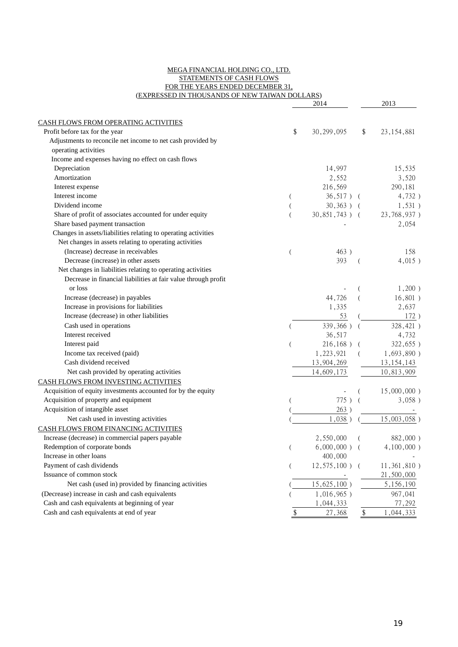| MEGA FINANCIAL HOLDING CO., LTD.<br><b>STATEMENTS OF CASH FLOWS</b> |                |                |          |                |
|---------------------------------------------------------------------|----------------|----------------|----------|----------------|
| FOR THE YEARS ENDED DECEMBER 31,                                    |                |                |          |                |
| (EXPRESSED IN THOUSANDS OF NEW TAIWAN DOLLARS)                      |                |                |          |                |
|                                                                     |                | 2014           |          | 2013           |
| <u>CASH FLOWS FROM OPERATING ACTIVITIES</u>                         |                |                |          |                |
| Profit before tax for the year                                      | \$             | 30,299,095     | \$       | 23, 154, 881   |
| Adjustments to reconcile net income to net cash provided by         |                |                |          |                |
| operating activities                                                |                |                |          |                |
| Income and expenses having no effect on cash flows                  |                |                |          |                |
| Depreciation                                                        |                | 14,997         |          | 15,535         |
| Amortization                                                        |                | 2,552          |          | 3,520          |
| Interest expense                                                    |                | 216,569        |          | 290,181        |
| Interest income                                                     |                | $36,517$ ) (   |          | 4,732)         |
| Dividend income                                                     |                | $30,363$ ) (   |          | 1,531)         |
| Share of profit of associates accounted for under equity            |                | 30,851,743) (  |          | 23,768,937)    |
| Share based payment transaction                                     |                |                |          | 2,054          |
| Changes in assets/liabilities relating to operating activities      |                |                |          |                |
| Net changes in assets relating to operating activities              |                |                |          |                |
| (Increase) decrease in receivables                                  | (              | 463)           |          | 158            |
| Decrease (increase) in other assets                                 |                | 393            | $\left($ | 4,015)         |
| Net changes in liabilities relating to operating activities         |                |                |          |                |
| Decrease in financial liabilities at fair value through profit      |                |                |          |                |
| or loss                                                             |                |                |          | $1,200$ )      |
| Increase (decrease) in payables                                     |                | 44,726         |          | 16,801)        |
| Increase in provisions for liabilities                              |                | 1,335          |          | 2,637          |
| Increase (decrease) in other liabilities                            |                | 53             |          | 172)           |
| Cash used in operations                                             |                | 339,366)       |          | 328,421)       |
| Interest received                                                   |                | 36,517         |          | 4,732          |
| Interest paid                                                       |                | 216,168)       |          | 322,655)       |
| Income tax received (paid)                                          |                | 1,223,921      |          | $1,693,890$ )  |
| Cash dividend received                                              |                | 13,904,269     |          | 13, 154, 143   |
| Net cash provided by operating activities                           |                | 14,609,173     |          | 10,813,909     |
| <b>CASH FLOWS FROM INVESTING ACTIVITIES</b>                         |                |                |          |                |
| Acquisition of equity investments accounted for by the equity       |                |                |          | $15,000,000$ ) |
| Acquisition of property and equipment                               |                | 775) (         |          | 3,058)         |
| Acquisition of intangible asset                                     |                | 263)           |          |                |
| Net cash used in investing activities                               |                | 1,038)         |          | 15,003,058)    |
| CASH FLOWS FROM FINANCING ACTIVITIES                                |                |                |          |                |
| Increase (decrease) in commercial papers payable                    |                | 2,550,000      |          | 882,000)       |
| Redemption of corporate bonds                                       | $\overline{(}$ | $6,000,000$ )  |          | $4,100,000$ )  |
| Increase in other loans                                             |                | 400,000        |          |                |
| Payment of cash dividends                                           |                | $12,575,100$ ) |          | 11,361,810)    |
| Issuance of common stock                                            |                |                |          | 21,500,000     |
| Net cash (used in) provided by financing activities                 |                | $15,625,100$ ) |          | 5,156,190      |
| (Decrease) increase in cash and cash equivalents                    |                | $1,016,965$ )  |          | 967,041        |
| Cash and cash equivalents at beginning of year                      |                | 1,044,333      |          | 77,292         |
| Cash and cash equivalents at end of year                            | \$             | 27,368         | $\$\$    | 1,044,333      |
|                                                                     |                |                |          |                |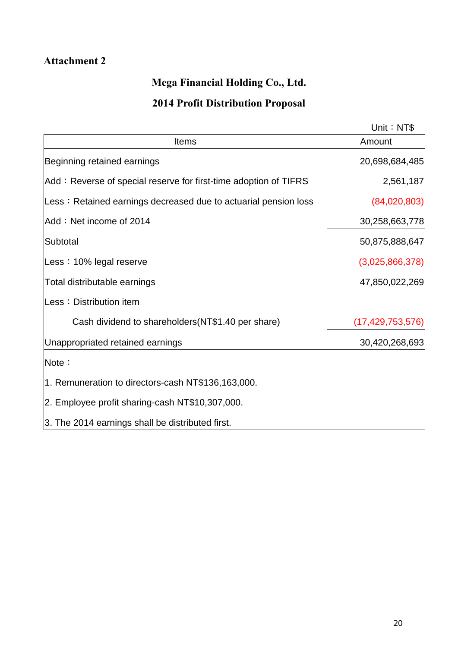## **Attachment 2**

## **Mega Financial Holding Co., Ltd.**

## **2014 Profit Distribution Proposal**

|                                                                  | Unit: $NT$$         |
|------------------------------------------------------------------|---------------------|
| <b>Items</b>                                                     | Amount              |
| Beginning retained earnings                                      | 20,698,684,485      |
| Add: Reverse of special reserve for first-time adoption of TIFRS | 2,561,187           |
| Less: Retained earnings decreased due to actuarial pension loss  | (84,020,803)        |
| Add: Net income of 2014                                          | 30,258,663,778      |
| Subtotal                                                         | 50,875,888,647      |
| Less: 10% legal reserve                                          | (3,025,866,378)     |
| Total distributable earnings                                     | 47,850,022,269      |
| Less: Distribution item                                          |                     |
| Cash dividend to shareholders (NT\$1.40 per share)               | (17, 429, 753, 576) |
| Unappropriated retained earnings                                 | 30,420,268,693      |
| Note:                                                            |                     |
| 1. Remuneration to directors-cash NT\$136,163,000.               |                     |
| 2. Employee profit sharing-cash NT\$10,307,000.                  |                     |
| 3. The 2014 earnings shall be distributed first.                 |                     |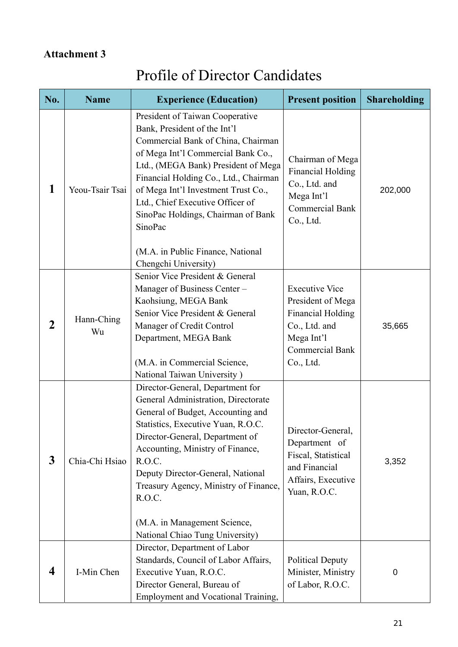## **Attachment 3**

# Profile of Director Candidates

| No.          | <b>Name</b>      | <b>Experience (Education)</b>                                                                                                                                                                                                                                                                                                                                                                  | <b>Present position</b>                                                                                                                      | <b>Shareholding</b> |
|--------------|------------------|------------------------------------------------------------------------------------------------------------------------------------------------------------------------------------------------------------------------------------------------------------------------------------------------------------------------------------------------------------------------------------------------|----------------------------------------------------------------------------------------------------------------------------------------------|---------------------|
| 1            | Yeou-Tsair Tsai  | President of Taiwan Cooperative<br>Bank, President of the Int'l<br>Commercial Bank of China, Chairman<br>of Mega Int'l Commercial Bank Co.,<br>Ltd., (MEGA Bank) President of Mega<br>Financial Holding Co., Ltd., Chairman<br>of Mega Int'l Investment Trust Co.,<br>Ltd., Chief Executive Officer of<br>SinoPac Holdings, Chairman of Bank<br>SinoPac<br>(M.A. in Public Finance, National   | Chairman of Mega<br><b>Financial Holding</b><br>Co., Ltd. and<br>Mega Int'l<br><b>Commercial Bank</b><br>Co., Ltd.                           | 202,000             |
| $\mathbf 2$  | Hann-Ching<br>Wu | Chengchi University)<br>Senior Vice President & General<br>Manager of Business Center -<br>Kaohsiung, MEGA Bank<br>Senior Vice President & General<br>Manager of Credit Control<br>Department, MEGA Bank<br>(M.A. in Commercial Science,<br>National Taiwan University)                                                                                                                        | <b>Executive Vice</b><br>President of Mega<br><b>Financial Holding</b><br>Co., Ltd. and<br>Mega Int'l<br><b>Commercial Bank</b><br>Co., Ltd. | 35,665              |
| $\mathbf{3}$ | Chia-Chi Hsiao   | Director-General, Department for<br>General Administration, Directorate<br>General of Budget, Accounting and<br>Statistics, Executive Yuan, R.O.C.<br>Director-General, Department of<br>Accounting, Ministry of Finance,<br>R.O.C.<br>Deputy Director-General, National<br>Treasury Agency, Ministry of Finance,<br>R.O.C.<br>(M.A. in Management Science,<br>National Chiao Tung University) | Director-General,<br>Department of<br>Fiscal, Statistical<br>and Financial<br>Affairs, Executive<br>Yuan, R.O.C.                             | 3,352               |
| 4            | I-Min Chen       | Director, Department of Labor<br>Standards, Council of Labor Affairs,<br>Executive Yuan, R.O.C.<br>Director General, Bureau of<br>Employment and Vocational Training,                                                                                                                                                                                                                          | <b>Political Deputy</b><br>Minister, Ministry<br>of Labor, R.O.C.                                                                            | $\mathbf 0$         |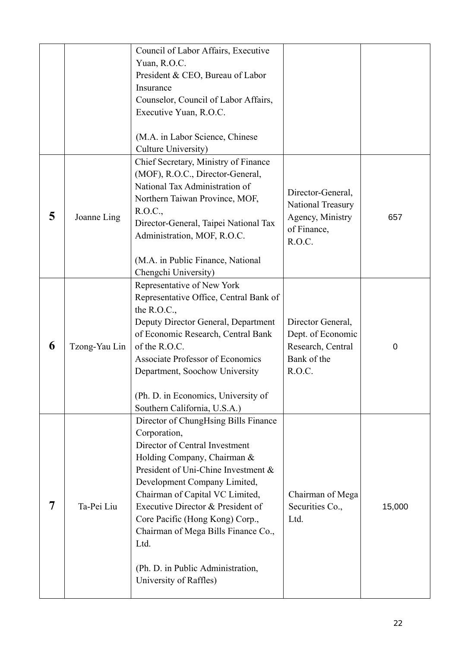|   |               | Council of Labor Affairs, Executive<br>Yuan, R.O.C.<br>President & CEO, Bureau of Labor<br>Insurance<br>Counselor, Council of Labor Affairs,                                                                                                                                                                                                                                                                          |                                                                                      |        |
|---|---------------|-----------------------------------------------------------------------------------------------------------------------------------------------------------------------------------------------------------------------------------------------------------------------------------------------------------------------------------------------------------------------------------------------------------------------|--------------------------------------------------------------------------------------|--------|
|   |               | Executive Yuan, R.O.C.<br>(M.A. in Labor Science, Chinese<br>Culture University)                                                                                                                                                                                                                                                                                                                                      |                                                                                      |        |
| 5 | Joanne Ling   | Chief Secretary, Ministry of Finance<br>(MOF), R.O.C., Director-General,<br>National Tax Administration of<br>Northern Taiwan Province, MOF,<br>R.O.C.,<br>Director-General, Taipei National Tax<br>Administration, MOF, R.O.C.                                                                                                                                                                                       | Director-General,<br>National Treasury<br>Agency, Ministry<br>of Finance,<br>R.O.C.  | 657    |
|   |               | (M.A. in Public Finance, National<br>Chengchi University)                                                                                                                                                                                                                                                                                                                                                             |                                                                                      |        |
| 6 | Tzong-Yau Lin | Representative of New York<br>Representative Office, Central Bank of<br>the $R.O.C.,$<br>Deputy Director General, Department<br>of Economic Research, Central Bank<br>of the R.O.C.<br><b>Associate Professor of Economics</b><br>Department, Soochow University<br>(Ph. D. in Economics, University of<br>Southern California, U.S.A.)                                                                               | Director General,<br>Dept. of Economic<br>Research, Central<br>Bank of the<br>R.O.C. | 0      |
| 7 | Ta-Pei Liu    | Director of ChungHsing Bills Finance<br>Corporation,<br>Director of Central Investment<br>Holding Company, Chairman &<br>President of Uni-Chine Investment &<br>Development Company Limited,<br>Chairman of Capital VC Limited,<br>Executive Director & President of<br>Core Pacific (Hong Kong) Corp.,<br>Chairman of Mega Bills Finance Co.,<br>Ltd.<br>(Ph. D. in Public Administration,<br>University of Raffles) | Chairman of Mega<br>Securities Co.,<br>Ltd.                                          | 15,000 |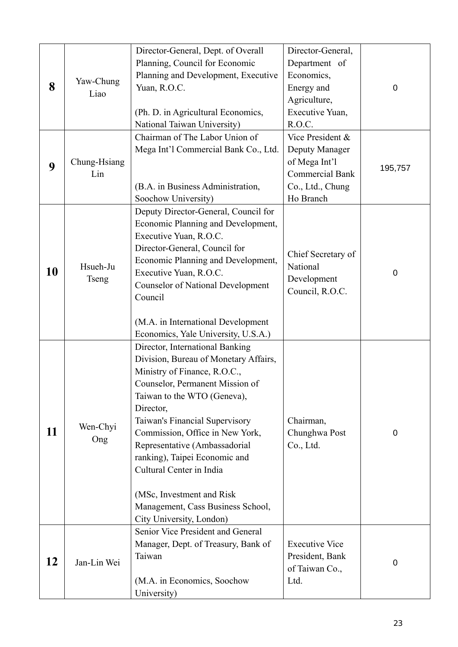| 8  | Yaw-Chung<br>Liao   | Director-General, Dept. of Overall<br>Planning, Council for Economic<br>Planning and Development, Executive<br>Yuan, R.O.C.<br>(Ph. D. in Agricultural Economics,<br>National Taiwan University)                                                                                                                                                                                                                                                          | Director-General,<br>Department of<br>Economics,<br>Energy and<br>Agriculture,<br>Executive Yuan,<br>R.O.C. | 0       |
|----|---------------------|-----------------------------------------------------------------------------------------------------------------------------------------------------------------------------------------------------------------------------------------------------------------------------------------------------------------------------------------------------------------------------------------------------------------------------------------------------------|-------------------------------------------------------------------------------------------------------------|---------|
| 9  | Chung-Hsiang<br>Lin | Chairman of The Labor Union of<br>Mega Int'l Commercial Bank Co., Ltd.<br>(B.A. in Business Administration,<br>Soochow University)                                                                                                                                                                                                                                                                                                                        | Vice President &<br>Deputy Manager<br>of Mega Int'l<br>Commercial Bank<br>Co., Ltd., Chung<br>Ho Branch     | 195,757 |
| 10 | Hsueh-Ju<br>Tseng   | Deputy Director-General, Council for<br>Economic Planning and Development,<br>Executive Yuan, R.O.C.<br>Director-General, Council for<br>Economic Planning and Development,<br>Executive Yuan, R.O.C.<br><b>Counselor of National Development</b><br>Council<br>(M.A. in International Development<br>Economics, Yale University, U.S.A.)                                                                                                                 | Chief Secretary of<br>National<br>Development<br>Council, R.O.C.                                            | 0       |
| 11 | Wen-Chyi<br>Ong     | Director, International Banking<br>Division, Bureau of Monetary Affairs,<br>Ministry of Finance, R.O.C.,<br>Counselor, Permanent Mission of<br>Taiwan to the WTO (Geneva),<br>Director,<br>Taiwan's Financial Supervisory<br>Commission, Office in New York,<br>Representative (Ambassadorial<br>ranking), Taipei Economic and<br>Cultural Center in India<br>(MSc, Investment and Risk)<br>Management, Cass Business School,<br>City University, London) | Chairman,<br>Chunghwa Post<br>Co., Ltd.                                                                     | 0       |
| 12 | Jan-Lin Wei         | Senior Vice President and General<br>Manager, Dept. of Treasury, Bank of<br>Taiwan<br>(M.A. in Economics, Soochow<br>University)                                                                                                                                                                                                                                                                                                                          | <b>Executive Vice</b><br>President, Bank<br>of Taiwan Co.,<br>Ltd.                                          | 0       |